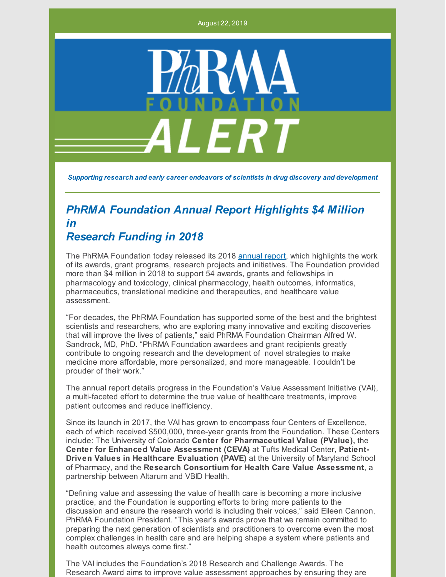August 22, 2019



*Supporting research and early career endeavors of scientists in drug discovery and development*

## *PhRMA Foundation Annual Report Highlights \$4 Million in Research Funding in 2018*

The PhRMA Foundation today released its 2018 [annual](http://www.phrmafoundation.org/wp-content/uploads/2019/08/2018_AnnualReport_PhRMAFoundation.pdf) report, which highlights the work of its awards, grant programs, research projects and initiatives. The Foundation provided more than \$4 million in 2018 to support 54 awards, grants and fellowships in pharmacology and toxicology, clinical pharmacology, health outcomes, informatics, pharmaceutics, translational medicine and therapeutics, and healthcare value assessment.

"For decades, the PhRMA Foundation has supported some of the best and the brightest scientists and researchers, who are exploring many innovative and exciting discoveries that will improve the lives of patients," said PhRMA Foundation Chairman Alfred W. Sandrock, MD, PhD. "PhRMA Foundation awardees and grant recipients greatly contribute to ongoing research and the development of novel strategies to make medicine more affordable, more personalized, and more manageable. I couldn't be prouder of their work."

The annual report details progress in the Foundation's Value Assessment Initiative (VAI), a multi-faceted effort to determine the true value of healthcare treatments, improve patient outcomes and reduce inefficiency.

Since its launch in 2017, the VAI has grown to encompass four Centers of Excellence, each of which received \$500,000, three-year grants from the Foundation. These Centers include: The University of Colorado **Center for Pharmaceutical Value (PValue),** the **Center for Enhanced Value Assessment (CEVA)** at Tufts Medical Center, **Patient-Driven Values in Healthcare Evaluation (PAVE)** at the University of Maryland School of Pharmacy, and the **Research Consortium for Health Care Value Assessment**, a partnership between Altarum and VBID Health.

"Defining value and assessing the value of health care is becoming a more inclusive practice, and the Foundation is supporting efforts to bring more patients to the discussion and ensure the research world is including their voices," said Eileen Cannon, PhRMA Foundation President. "This year's awards prove that we remain committed to preparing the next generation of scientists and practitioners to overcome even the most complex challenges in health care and are helping shape a system where patients and health outcomes always come first."

The VAI includes the Foundation's 2018 Research and Challenge Awards. The Research Award aims to improve value assessment approaches by ensuring they are